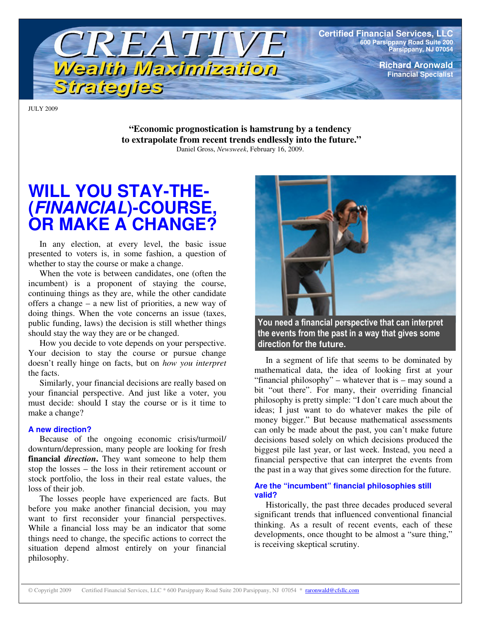

**Certified Financial Services, LLC 600 Parsippany Road Suite 200 Parsippany, NJ 07054**

> **Richard Aronwald Financial Specialist**

JULY 2009

**"Economic prognostication is hamstrung by a tendency to extrapolate from recent trends endlessly into the future."** Daniel Gross, *Newsweek*, February 16, 2009.

# **WILL YOU STAY-THE- (***FINANCIAL***)-COURSE, OR MAKE A CHANGE?**

In any election, at every level, the basic issue presented to voters is, in some fashion, a question of whether to stay the course or make a change.

When the vote is between candidates, one (often the incumbent) is a proponent of staying the course, continuing things as they are, while the other candidate offers a change – a new list of priorities, a new way of doing things. When the vote concerns an issue (taxes, public funding, laws) the decision is still whether things should stay the way they are or be changed.

How you decide to vote depends on your perspective. Your decision to stay the course or pursue change doesn't really hinge on facts, but on *how you interpret* the facts.

Similarly, your financial decisions are really based on your financial perspective. And just like a voter, you must decide: should I stay the course or is it time to make a change?

#### **A new direction?**

Because of the ongoing economic crisis/turmoil/ downturn/depression, many people are looking for fresh **financial** *direction***.** They want someone to help them stop the losses – the loss in their retirement account or stock portfolio, the loss in their real estate values, the loss of their job.

The losses people have experienced are facts. But before you make another financial decision, you may want to first reconsider your financial perspectives. While a financial loss may be an indicator that some things need to change, the specific actions to correct the situation depend almost entirely on your financial philosophy.



You need a financial perspective that can interpret the events from the past in a way that gives some direction for the future.

In a segment of life that seems to be dominated by mathematical data, the idea of looking first at your "financial philosophy" – whatever that is – may sound a bit "out there". For many, their overriding financial philosophy is pretty simple: "I don't care much about the ideas; I just want to do whatever makes the pile of money bigger." But because mathematical assessments can only be made about the past, you can't make future decisions based solely on which decisions produced the biggest pile last year, or last week. Instead, you need a financial perspective that can interpret the events from the past in a way that gives some direction for the future.

#### **Are the "incumbent" financial philosophies still valid?**

Historically, the past three decades produced several significant trends that influenced conventional financial thinking. As a result of recent events, each of these developments, once thought to be almost a "sure thing," is receiving skeptical scrutiny.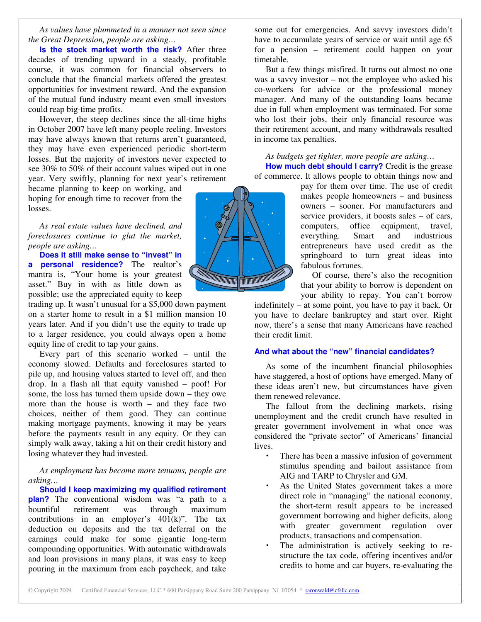*As values have plummeted in a manner not seen since the Great Depression, people are asking…*

**Is the stock market worth the risk?** After three decades of trending upward in a steady, profitable course, it was common for financial observers to conclude that the financial markets offered the greatest opportunities for investment reward. And the expansion of the mutual fund industry meant even small investors could reap big-time profits.

However, the steep declines since the all-time highs in October 2007 have left many people reeling. Investors may have always known that returns aren't guaranteed, they may have even experienced periodic short-term losses. But the majority of investors never expected to see 30% to 50% of their account values wiped out in one year. Very swiftly, planning for next year's retirement

became planning to keep on working, and hoping for enough time to recover from the losses.

*As real estate values have declined, and foreclosures continue to glut the market, people are asking…*

**Does it still make sense to "invest" in a personal residence?** The realtor's mantra is, "Your home is your greatest asset." Buy in with as little down as possible; use the appreciated equity to keep

trading up. It wasn't unusual for a \$5,000 down payment on a starter home to result in a \$1 million mansion 10 years later. And if you didn't use the equity to trade up to a larger residence, you could always open a home equity line of credit to tap your gains.

Every part of this scenario worked – until the economy slowed. Defaults and foreclosures started to pile up, and housing values started to level off, and then drop. In a flash all that equity vanished – poof! For some, the loss has turned them upside down – they owe more than the house is worth – and they face two choices, neither of them good. They can continue making mortgage payments, knowing it may be years before the payments result in any equity. Or they can simply walk away, taking a hit on their credit history and losing whatever they had invested.

*As employment has become more tenuous, people are asking…*

**Should I keep maximizing my qualified retirement plan?** The conventional wisdom was "a path to a bountiful retirement was through maximum contributions in an employer's  $401(k)$ ". The tax deduction on deposits and the tax deferral on the earnings could make for some gigantic long-term compounding opportunities. With automatic withdrawals and loan provisions in many plans, it was easy to keep pouring in the maximum from each paycheck, and take

some out for emergencies. And savvy investors didn't have to accumulate years of service or wait until age 65 for a pension – retirement could happen on your timetable.

But a few things misfired. It turns out almost no one was a savvy investor – not the employee who asked his co-workers for advice or the professional money manager. And many of the outstanding loans became due in full when employment was terminated. For some who lost their jobs, their only financial resource was their retirement account, and many withdrawals resulted in income tax penalties.

*As budgets get tighter, more people are asking…* **How much debt should I carry?** Credit is the grease of commerce. It allows people to obtain things now and

> pay for them over time. The use of credit makes people homeowners – and business owners – sooner. For manufacturers and service providers, it boosts sales – of cars, computers, office equipment, travel, everything. Smart and industrious entrepreneurs have used credit as the springboard to turn great ideas into fabulous fortunes.

> Of course, there's also the recognition that your ability to borrow is dependent on your ability to repay. You can't borrow

indefinitely – at some point, you have to pay it back. Or you have to declare bankruptcy and start over. Right now, there's a sense that many Americans have reached their credit limit.

#### **And what about the "new" financial candidates?**

As some of the incumbent financial philosophies have staggered, a host of options have emerged. Many of these ideas aren't new, but circumstances have given them renewed relevance.

The fallout from the declining markets, rising unemployment and the credit crunch have resulted in greater government involvement in what once was considered the "private sector" of Americans' financial lives.

- There has been a massive infusion of government stimulus spending and bailout assistance from AIG and TARP to Chrysler and GM.
- As the United States government takes a more direct role in "managing" the national economy, the short-term result appears to be increased government borrowing and higher deficits, along with greater government regulation over products, transactions and compensation.
- The administration is actively seeking to restructure the tax code, offering incentives and/or credits to home and car buyers, re-evaluating the

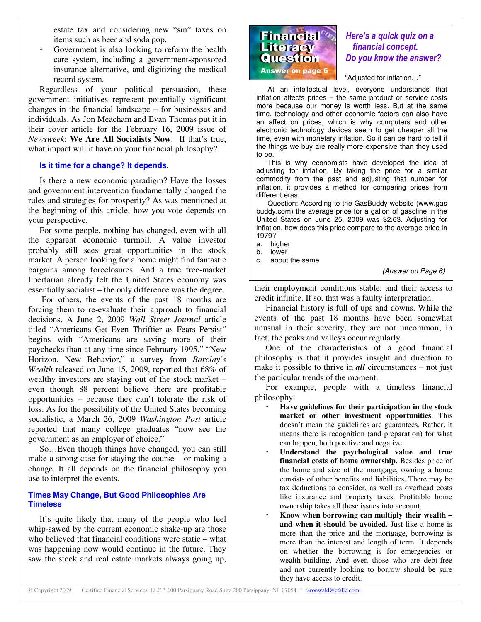estate tax and considering new "sin" taxes on items such as beer and soda pop.

 Government is also looking to reform the health care system, including a government-sponsored insurance alternative, and digitizing the medical record system.

Regardless of your political persuasion, these government initiatives represent potentially significant changes in the financial landscape – for businesses and individuals. As Jon Meacham and Evan Thomas put it in their cover article for the February 16, 2009 issue of *Newsweek*: **We Are All Socialists Now**. If that's true, what impact will it have on your financial philosophy?

#### **Is it time for a change? It depends.**

Is there a new economic paradigm? Have the losses and government intervention fundamentally changed the rules and strategies for prosperity? As was mentioned at the beginning of this article, how you vote depends on your perspective.

For some people, nothing has changed, even with all the apparent economic turmoil. A value investor probably still sees great opportunities in the stock market. A person looking for a home might find fantastic bargains among foreclosures. And a true free-market libertarian already felt the United States economy was essentially socialist – the only difference was the degree.

For others, the events of the past 18 months are forcing them to re-evaluate their approach to financial decisions. A June 2, 2009 *Wall Street Journal* article titled "Americans Get Even Thriftier as Fears Persist" begins with "Americans are saving more of their paychecks than at any time since February 1995." "New Horizon, New Behavior," a survey from *Barclay's Wealth* released on June 15, 2009, reported that 68% of wealthy investors are staying out of the stock market – even though 88 percent believe there are profitable opportunities – because they can't tolerate the risk of loss. As for the possibility of the United States becoming socialistic, a March 26, 2009 *Washington Post* article reported that many college graduates "now see the government as an employer of choice."

So…Even though things have changed, you can still make a strong case for staying the course – or making a change. It all depends on the financial philosophy you use to interpret the events.

#### **Times May Change, But Good Philosophies Are Timeless**

It's quite likely that many of the people who feel whip-sawed by the current economic shake-up are those who believed that financial conditions were static – what was happening now would continue in the future. They saw the stock and real estate markets always going up,



# Here's a quick quiz on a financial concept. Do you know the answer?

"Adjusted for inflation…"

At an intellectual level, everyone understands that inflation affects prices – the same product or service costs more because our money is worth less. But at the same time, technology and other economic factors can also have an affect on prices, which is why computers and other electronic technology devices seem to get cheaper all the time, even with monetary inflation. So it can be hard to tell if the things we buy are really more expensive than they used to be.

This is why economists have developed the idea of adjusting for inflation. By taking the price for a similar commodity from the past and adjusting that number for inflation, it provides a method for comparing prices from different eras.

Question: According to the GasBuddy website (www.gas buddy.com) the average price for a gallon of gasoline in the United States on June 25, 2009 was \$2.63. Adjusting for inflation, how does this price compare to the average price in 1979?

- a. higher
- lower
- c. about the same

*(Answer on Page 6)*

their employment conditions stable, and their access to credit infinite. If so, that was a faulty interpretation.

Financial history is full of ups and downs. While the events of the past 18 months have been somewhat unusual in their severity, they are not uncommon; in fact, the peaks and valleys occur regularly.

One of the characteristics of a good financial philosophy is that it provides insight and direction to make it possible to thrive in *all* circumstances – not just the particular trends of the moment.

For example, people with a timeless financial philosophy:

- **Have guidelines for their participation in the stock market or other investment opportunities**. This doesn't mean the guidelines are guarantees. Rather, it means there is recognition (and preparation) for what can happen, both positive and negative.
- **Understand the psychological value and true financial costs of home ownership.** Besides price of the home and size of the mortgage, owning a home consists of other benefits and liabilities. There may be tax deductions to consider, as well as overhead costs like insurance and property taxes. Profitable home ownership takes all these issues into account.
- **Know when borrowing can multiply their wealth – and when it should be avoided**. Just like a home is more than the price and the mortgage, borrowing is more than the interest and length of term. It depends on whether the borrowing is for emergencies or wealth-building. And even those who are debt-free and not currently looking to borrow should be sure they have access to credit.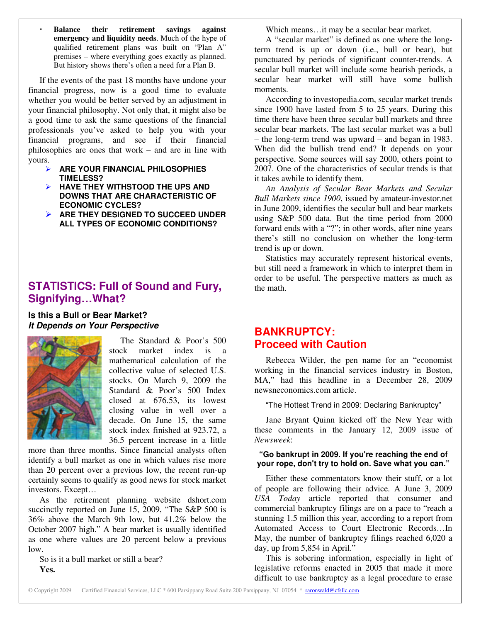**Balance their retirement savings against emergency and liquidity needs**. Much of the hype of qualified retirement plans was built on "Plan A" premises – where everything goes exactly as planned. But history shows there's often a need for a Plan B.

If the events of the past 18 months have undone your financial progress, now is a good time to evaluate whether you would be better served by an adjustment in your financial philosophy. Not only that, it might also be a good time to ask the same questions of the financial professionals you've asked to help you with your financial programs, and see if their financial philosophies are ones that work – and are in line with yours.

- **ARE YOUR FINANCIAL PHILOSOPHIES TIMELESS?**
- **HAVE THEY WITHSTOOD THE UPS AND DOWNS THAT ARE CHARACTERISTIC OF ECONOMIC CYCLES?**
- **ARE THEY DESIGNED TO SUCCEED UNDER ALL TYPES OF ECONOMIC CONDITIONS?**

# **STATISTICS: Full of Sound and Fury, Signifying…What?**

**Is this a Bull or Bear Market?** *It Depends on Your Perspective*



The Standard & Poor's 500 stock market index is a mathematical calculation of the collective value of selected U.S. stocks. On March 9, 2009 the Standard & Poor's 500 Index closed at 676.53, its lowest closing value in well over a decade. On June 15, the same stock index finished at 923.72, a 36.5 percent increase in a little

more than three months. Since financial analysts often identify a bull market as one in which values rise more than 20 percent over a previous low, the recent run-up certainly seems to qualify as good news for stock market investors. Except…

As the retirement planning website dshort.com succinctly reported on June 15, 2009, "The S&P 500 is 36% above the March 9th low, but 41.2% below the October 2007 high." A bear market is usually identified as one where values are 20 percent below a previous low.

So is it a bull market or still a bear? **Yes.**

Which means…it may be a secular bear market.

A "secular market" is defined as one where the longterm trend is up or down (i.e., bull or bear), but punctuated by periods of significant counter-trends. A secular bull market will include some bearish periods, a secular bear market will still have some bullish moments.

According to investopedia.com, secular market trends since 1900 have lasted from 5 to 25 years. During this time there have been three secular bull markets and three secular bear markets. The last secular market was a bull – the long-term trend was upward – and began in 1983. When did the bullish trend end? It depends on your perspective. Some sources will say 2000, others point to 2007. One of the characteristics of secular trends is that it takes awhile to identify them.

*An Analysis of Secular Bear Markets and Secular Bull Markets since 1900*, issued by amateur-investor.net in June 2009, identifies the secular bull and bear markets using S&P 500 data. But the time period from 2000 forward ends with a "?"; in other words, after nine years there's still no conclusion on whether the long-term trend is up or down.

Statistics may accurately represent historical events, but still need a framework in which to interpret them in order to be useful. The perspective matters as much as the math.

# **BANKRUPTCY: Proceed with Caution**

Rebecca Wilder, the pen name for an "economist working in the financial services industry in Boston, MA," had this headline in a December 28, 2009 newsneconomics.com article.

"The Hottest Trend in 2009: Declaring Bankruptcy"

Jane Bryant Quinn kicked off the New Year with these comments in the January 12, 2009 issue of *Newsweek*:

#### **"Go bankrupt in 2009. If you're reaching the end of your rope, don't try to hold on. Save what you can."**

Either these commentators know their stuff, or a lot of people are following their advice. A June 3, 2009 *USA Today* article reported that consumer and commercial bankruptcy filings are on a pace to "reach a stunning 1.5 million this year, according to a report from Automated Access to Court Electronic Records…In May, the number of bankruptcy filings reached 6,020 a day, up from 5,854 in April."

This is sobering information, especially in light of legislative reforms enacted in 2005 that made it more difficult to use bankruptcy as a legal procedure to erase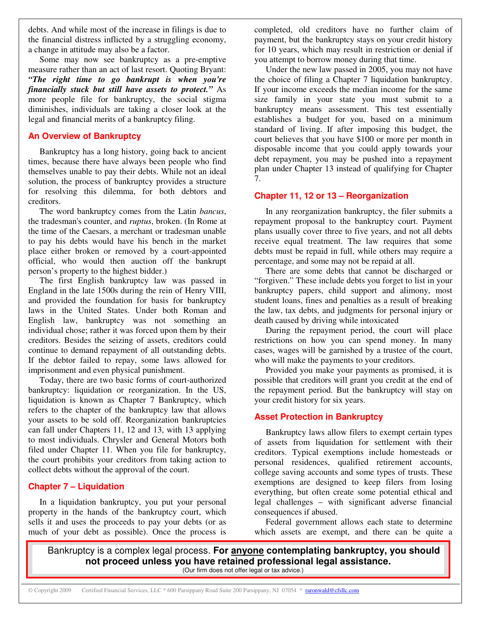debts. And while most of the increase in filings is due to the financial distress inflicted by a struggling economy, a change in attitude may also be a factor.

Some may now see bankruptcy as a pre-emptive measure rather than an act of last resort. Quoting Bryant: *"The right time to go bankrupt is when you're financially stuck but still have assets to protect."* As more people file for bankruptcy, the social stigma diminishes, individuals are taking a closer look at the legal and financial merits of a bankruptcy filing.

## **An Overview of Bankruptcy**

Bankruptcy has a long history, going back to ancient times, because there have always been people who find themselves unable to pay their debts. While not an ideal solution, the process of bankruptcy provides a structure for resolving this dilemma, for both debtors and creditors.

The word bankruptcy comes from the Latin *bancus*, the tradesman's counter, and *ruptus*, broken. (In Rome at the time of the Caesars, a merchant or tradesman unable to pay his debts would have his bench in the market place either broken or removed by a court-appointed official, who would then auction off the bankrupt person's property to the highest bidder.)

The first English bankruptcy law was passed in England in the late 1500s during the rein of Henry VIII, and provided the foundation for basis for bankruptcy laws in the United States. Under both Roman and English law, bankruptcy was not something an individual chose; rather it was forced upon them by their creditors. Besides the seizing of assets, creditors could continue to demand repayment of all outstanding debts. If the debtor failed to repay, some laws allowed for imprisonment and even physical punishment.

Today, there are two basic forms of court-authorized bankruptcy: liquidation or reorganization. In the US, liquidation is known as Chapter 7 Bankruptcy, which refers to the chapter of the bankruptcy law that allows your assets to be sold off. Reorganization bankruptcies can fall under Chapters 11, 12 and 13, with 13 applying to most individuals. Chrysler and General Motors both filed under Chapter 11. When you file for bankruptcy, the court prohibits your creditors from taking action to collect debts without the approval of the court.

# **Chapter 7 – Liquidation**

In a liquidation bankruptcy, you put your personal property in the hands of the bankruptcy court, which sells it and uses the proceeds to pay your debts (or as much of your debt as possible). Once the process is

completed, old creditors have no further claim of payment, but the bankruptcy stays on your credit history for 10 years, which may result in restriction or denial if you attempt to borrow money during that time.

Under the new law passed in 2005, you may not have the choice of filing a Chapter 7 liquidation bankruptcy. If your income exceeds the median income for the same size family in your state you must submit to a bankruptcy means assessment. This test essentially establishes a budget for you, based on a minimum standard of living. If after imposing this budget, the court believes that you have \$100 or more per month in disposable income that you could apply towards your debt repayment, you may be pushed into a repayment plan under Chapter 13 instead of qualifying for Chapter 7.

### **Chapter 11, 12 or 13 – Reorganization**

In any reorganization bankruptcy, the filer submits a repayment proposal to the bankruptcy court. Payment plans usually cover three to five years, and not all debts receive equal treatment. The law requires that some debts must be repaid in full, while others may require a percentage, and some may not be repaid at all.

There are some debts that cannot be discharged or "forgiven." These include debts you forget to list in your bankruptcy papers, child support and alimony, most student loans, fines and penalties as a result of breaking the law, tax debts, and judgments for personal injury or death caused by driving while intoxicated

During the repayment period, the court will place restrictions on how you can spend money. In many cases, wages will be garnished by a trustee of the court, who will make the payments to your creditors.

Provided you make your payments as promised, it is possible that creditors will grant you credit at the end of the repayment period. But the bankruptcy will stay on your credit history for six years.

# **Asset Protection in Bankruptcy**

Bankruptcy laws allow filers to exempt certain types of assets from liquidation for settlement with their creditors. Typical exemptions include homesteads or personal residences, qualified retirement accounts, college saving accounts and some types of trusts. These exemptions are designed to keep filers from losing everything, but often create some potential ethical and legal challenges – with significant adverse financial consequences if abused.

Federal government allows each state to determine which assets are exempt, and there can be quite a

Bankruptcy is a complex legal process. **For anyone contemplating bankruptcy, you should not proceed unless you have retained professional legal assistance.** (Our firm does not offer legal or tax advice.)

© Copyright 2009 Certified Financial Services, LLC \* 600 Parsippany Road Suite 200 Parsippany, NJ 07054 \* raronwald@cfsllc.com